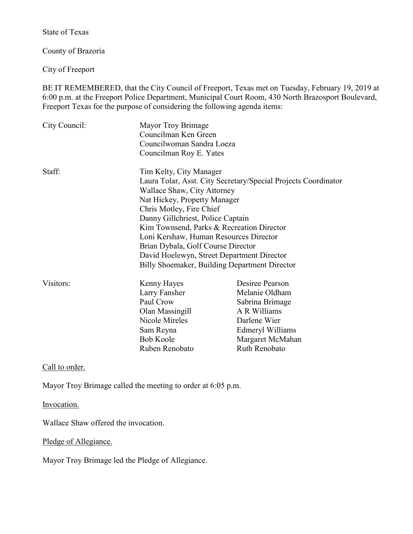State of Texas

County of Brazoria

City of Freeport

BE IT REMEMBERED, that the City Council of Freeport, Texas met on Tuesday, February 19, 2019 at 6:00 p.m. at the Freeport Police Department, Municipal Court Room, 430 North Brazosport Boulevard, Freeport Texas for the purpose of considering the following agenda items:

| City Council: | Mayor Troy Brimage<br>Councilman Ken Green<br>Councilwoman Sandra Loeza<br>Councilman Roy E. Yates |                  |
|---------------|----------------------------------------------------------------------------------------------------|------------------|
| Staff:        | Tim Kelty, City Manager<br>Laura Tolar, Asst. City Secretary/Special Projects Coordinator          |                  |
|               | Wallace Shaw, City Attorney                                                                        |                  |
|               | Nat Hickey, Property Manager                                                                       |                  |
|               | Chris Motley, Fire Chief<br>Danny Gillchriest, Police Captain                                      |                  |
|               | Kim Townsend, Parks & Recreation Director                                                          |                  |
|               | Loni Kershaw, Human Resources Director                                                             |                  |
|               | Brian Dybala, Golf Course Director                                                                 |                  |
|               | David Hoelewyn, Street Department Director                                                         |                  |
|               | Billy Shoemaker, Building Department Director                                                      |                  |
| Visitors:     | Kenny Hayes                                                                                        | Desiree Pearson  |
|               | Larry Fansher                                                                                      | Melanie Oldham   |
|               | Paul Crow                                                                                          | Sabrina Brimage  |
|               | Olan Massingill                                                                                    | A R Williams     |
|               | Nicole Mireles                                                                                     | Darlene Wier     |
|               | Sam Reyna                                                                                          | Edmeryl Williams |
|               | <b>Bob Koole</b>                                                                                   | Margaret McMahan |
|               | Ruben Renobato                                                                                     | Ruth Renobato    |

Call to order.

Mayor Troy Brimage called the meeting to order at 6:05 p.m.

Invocation.

Wallace Shaw offered the invocation.

Pledge of Allegiance.

Mayor Troy Brimage led the Pledge of Allegiance.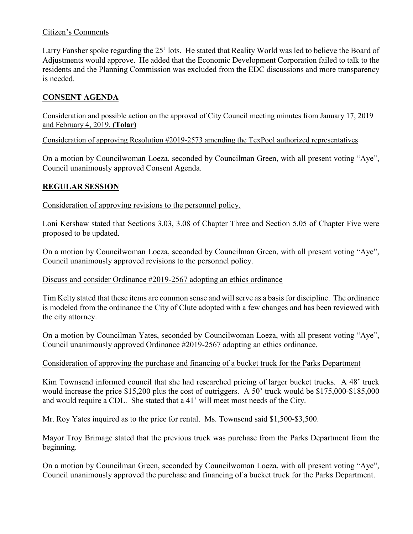# Citizen's Comments

Larry Fansher spoke regarding the 25' lots. He stated that Reality World was led to believe the Board of Adjustments would approve. He added that the Economic Development Corporation failed to talk to the residents and the Planning Commission was excluded from the EDC discussions and more transparency is needed.

# **CONSENT AGENDA**

Consideration and possible action on the approval of City Council meeting minutes from January 17, 2019 and February 4, 2019. **(Tolar)** 

Consideration of approving Resolution #2019-2573 amending the TexPool authorized representatives

On a motion by Councilwoman Loeza, seconded by Councilman Green, with all present voting "Aye", Council unanimously approved Consent Agenda.

# **REGULAR SESSION**

Consideration of approving revisions to the personnel policy.

Loni Kershaw stated that Sections 3.03, 3.08 of Chapter Three and Section 5.05 of Chapter Five were proposed to be updated.

On a motion by Councilwoman Loeza, seconded by Councilman Green, with all present voting "Aye", Council unanimously approved revisions to the personnel policy.

### Discuss and consider Ordinance #2019-2567 adopting an ethics ordinance

Tim Kelty stated that these items are common sense and will serve as a basis for discipline. The ordinance is modeled from the ordinance the City of Clute adopted with a few changes and has been reviewed with the city attorney.

On a motion by Councilman Yates, seconded by Councilwoman Loeza, with all present voting "Aye", Council unanimously approved Ordinance #2019-2567 adopting an ethics ordinance.

#### Consideration of approving the purchase and financing of a bucket truck for the Parks Department

Kim Townsend informed council that she had researched pricing of larger bucket trucks. A 48' truck would increase the price \$15,200 plus the cost of outriggers. A 50' truck would be \$175,000-\$185,000 and would require a CDL. She stated that a 41' will meet most needs of the City.

Mr. Roy Yates inquired as to the price for rental. Ms. Townsend said \$1,500-\$3,500.

Mayor Troy Brimage stated that the previous truck was purchase from the Parks Department from the beginning.

On a motion by Councilman Green, seconded by Councilwoman Loeza, with all present voting "Aye", Council unanimously approved the purchase and financing of a bucket truck for the Parks Department.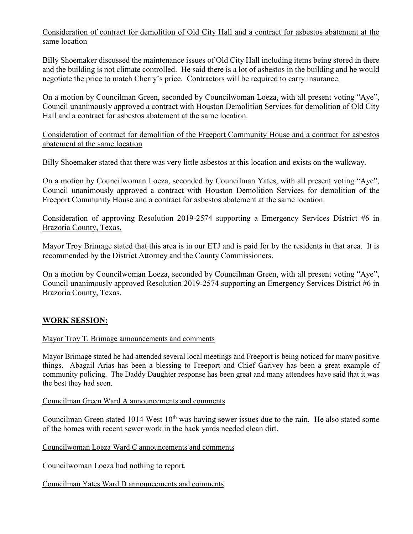# Consideration of contract for demolition of Old City Hall and a contract for asbestos abatement at the same location

Billy Shoemaker discussed the maintenance issues of Old City Hall including items being stored in there and the building is not climate controlled. He said there is a lot of asbestos in the building and he would negotiate the price to match Cherry's price. Contractors will be required to carry insurance.

On a motion by Councilman Green, seconded by Councilwoman Loeza, with all present voting "Aye", Council unanimously approved a contract with Houston Demolition Services for demolition of Old City Hall and a contract for asbestos abatement at the same location.

Consideration of contract for demolition of the Freeport Community House and a contract for asbestos abatement at the same location

Billy Shoemaker stated that there was very little asbestos at this location and exists on the walkway.

On a motion by Councilwoman Loeza, seconded by Councilman Yates, with all present voting "Aye", Council unanimously approved a contract with Houston Demolition Services for demolition of the Freeport Community House and a contract for asbestos abatement at the same location.

Consideration of approving Resolution 2019-2574 supporting a Emergency Services District #6 in Brazoria County, Texas.

Mayor Troy Brimage stated that this area is in our ETJ and is paid for by the residents in that area. It is recommended by the District Attorney and the County Commissioners.

On a motion by Councilwoman Loeza, seconded by Councilman Green, with all present voting "Aye", Council unanimously approved Resolution 2019-2574 supporting an Emergency Services District #6 in Brazoria County, Texas.

# **WORK SESSION:**

#### Mayor Troy T. Brimage announcements and comments

Mayor Brimage stated he had attended several local meetings and Freeport is being noticed for many positive things. Abagail Arias has been a blessing to Freeport and Chief Garivey has been a great example of community policing. The Daddy Daughter response has been great and many attendees have said that it was the best they had seen.

Councilman Green Ward A announcements and comments

Councilman Green stated 1014 West  $10<sup>th</sup>$  was having sewer issues due to the rain. He also stated some of the homes with recent sewer work in the back yards needed clean dirt.

Councilwoman Loeza Ward C announcements and comments

Councilwoman Loeza had nothing to report.

Councilman Yates Ward D announcements and comments